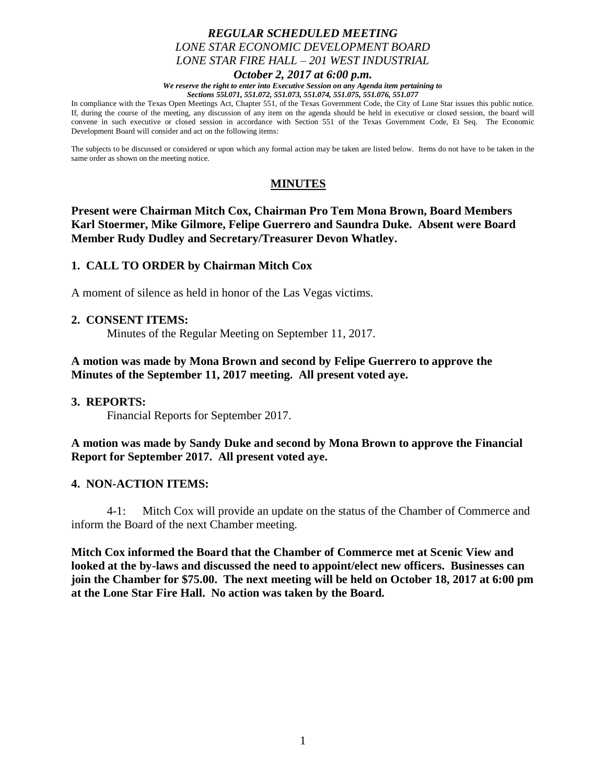# *REGULAR SCHEDULED MEETING LONE STAR ECONOMIC DEVELOPMENT BOARD LONE STAR FIRE HALL – 201 WEST INDUSTRIAL*

#### *October 2, 2017 at 6:00 p.m.*

*We reserve the right to enter into Executive Session on any Agenda item pertaining to Sections 55l.071, 551.072, 551.073, 551.074, 551.075, 551.076, 551.077*

In compliance with the Texas Open Meetings Act, Chapter 551, of the Texas Government Code, the City of Lone Star issues this public notice. If, during the course of the meeting, any discussion of any item on the agenda should be held in executive or closed session, the board will convene in such executive or closed session in accordance with Section 551 of the Texas Government Code, Et Seq. The Economic Development Board will consider and act on the following items:

The subjects to be discussed or considered or upon which any formal action may be taken are listed below. Items do not have to be taken in the same order as shown on the meeting notice.

# **MINUTES**

**Present were Chairman Mitch Cox, Chairman Pro Tem Mona Brown, Board Members Karl Stoermer, Mike Gilmore, Felipe Guerrero and Saundra Duke. Absent were Board Member Rudy Dudley and Secretary/Treasurer Devon Whatley.**

#### **1. CALL TO ORDER by Chairman Mitch Cox**

A moment of silence as held in honor of the Las Vegas victims.

#### **2. CONSENT ITEMS:**

Minutes of the Regular Meeting on September 11, 2017.

### **A motion was made by Mona Brown and second by Felipe Guerrero to approve the Minutes of the September 11, 2017 meeting. All present voted aye.**

#### **3. REPORTS:**

Financial Reports for September 2017.

#### **A motion was made by Sandy Duke and second by Mona Brown to approve the Financial Report for September 2017. All present voted aye.**

#### **4. NON-ACTION ITEMS:**

4-1: Mitch Cox will provide an update on the status of the Chamber of Commerce and inform the Board of the next Chamber meeting.

**Mitch Cox informed the Board that the Chamber of Commerce met at Scenic View and looked at the by-laws and discussed the need to appoint/elect new officers. Businesses can join the Chamber for \$75.00. The next meeting will be held on October 18, 2017 at 6:00 pm at the Lone Star Fire Hall. No action was taken by the Board.**